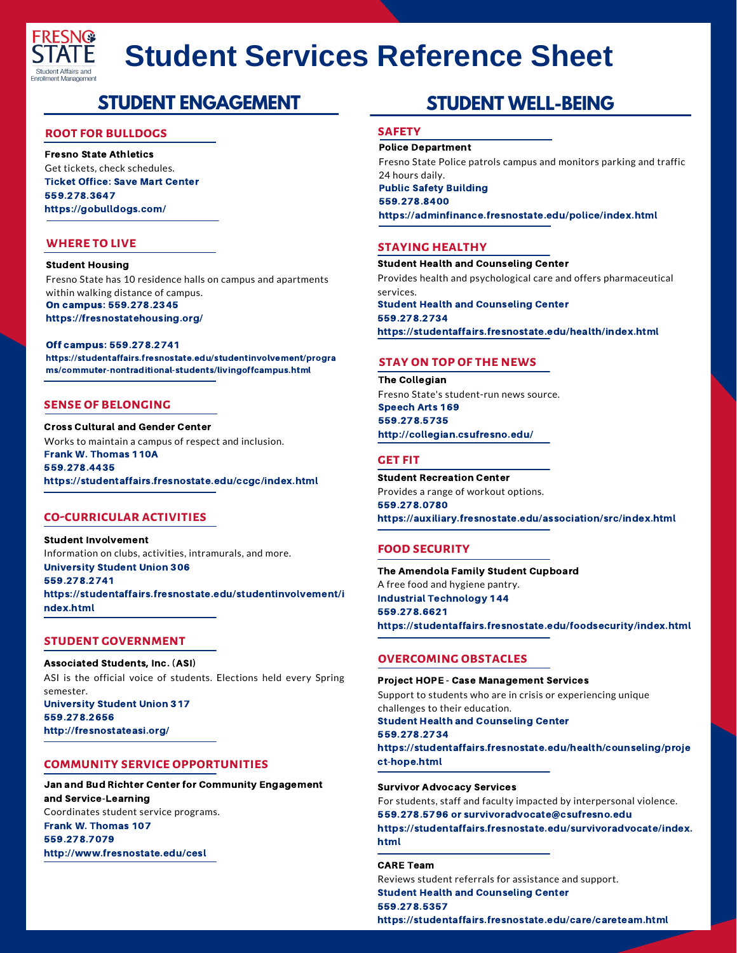

# **Student Services Reference Sheet**

# **STUDENT ENGAGEMENT**

# **root for bulldogs**

Fresno State Athletics Get tickets, check schedules. Ticket Office: Save Mart Center 559.278.3647 https://gobulldogs.com/

# **where to live**

Student Housing Fresno State has 10 residence halls on campus and apartments within walking distance of campus. On campus: 559.278.2345 https://fresnostatehousing.org/

Off campus: 559.278.2741 https://studentaffairs.fresnostate.edu/studentinvolvement/progra ms/commuter-nontraditional-students/livingoffcampus.html

# **sense of belonging**

Cross Cultural and Gender Center Works to maintain a campus of respect and inclusion. Frank W. Thomas 110A 559.278.4435 https://studentaffairs.fresnostate.edu/ccgc/index.html

# **co-curricular activities**

Student Involvement Information on clubs, activities, intramurals, and more. University Student Union 306 559.278.2741 https://studentaffairs.fresnostate.edu/studentinvolvement/i ndex.html

# **student government**

Associated Students, Inc. (ASI) ASI is the official voice of students. Elections held every Spring semester. University Student Union 317 559.278.2656 http://fresnostateasi.org/

# **community service opportunities**

Jan and Bud Richter Center for Community Engagement and Service-Learning Coordinates student service programs. Frank W. Thomas 107 559.278.7079 http://www.fresnostate.edu/cesl

# **STUDENT WELL-BEING**

# **safety**

Police Department

Fresno State Police patrols campus and monitors parking and traffic 24 hours daily. Public Safety Building 559.278.8400 https://adminfinance.fresnostate.edu/police/index.html

# **STAYING HEALTHY**

Student Health and Counseling Center Provides health and psychological care and offers pharmaceutical services. Student Health and Counseling Center 559.278.2734 https://studentaffairs.fresnostate.edu/health/index.html

# **sTAY ON TOP OF THE NEWS**

The Collegian Fresno State's student-run news source. Speech Arts 169 559.278.5735 http://collegian.csufresno.edu/

# **get fit**

Student Recreation Center Provides a range of workout options. 559.278.0780 https://auxiliary.fresnostate.edu/association/src/index.html

# **food security**

The Amendola Family Student Cupboard A free food and hygiene pantry. Industrial Technology 144 559.278.6621 https://studentaffairs.fresnostate.edu/foodsecurity/index.html

# **overcoming obstacles**

Project HOPE - Case Management Services Support to students who are in crisis or experiencing unique challenges to their education. Student Health and Counseling Center 559.278.2734 https://studentaffairs.fresnostate.edu/health/counseling/proje ct-hope.html

Survivor Advocacy Services For students, staff and faculty impacted by interpersonal violence. 559.278.5796 or [survivoradvocate@csufresno.edu](mailto:survivoradvocate@csufresno.edu) https://studentaffairs.fresnostate.edu/survivoradvocate/index. html

#### CARE Team

Reviews student referrals for assistance and support. Student Health and Counseling Center 559.278.5357 https://studentaffairs.fresnostate.edu/care/careteam.html